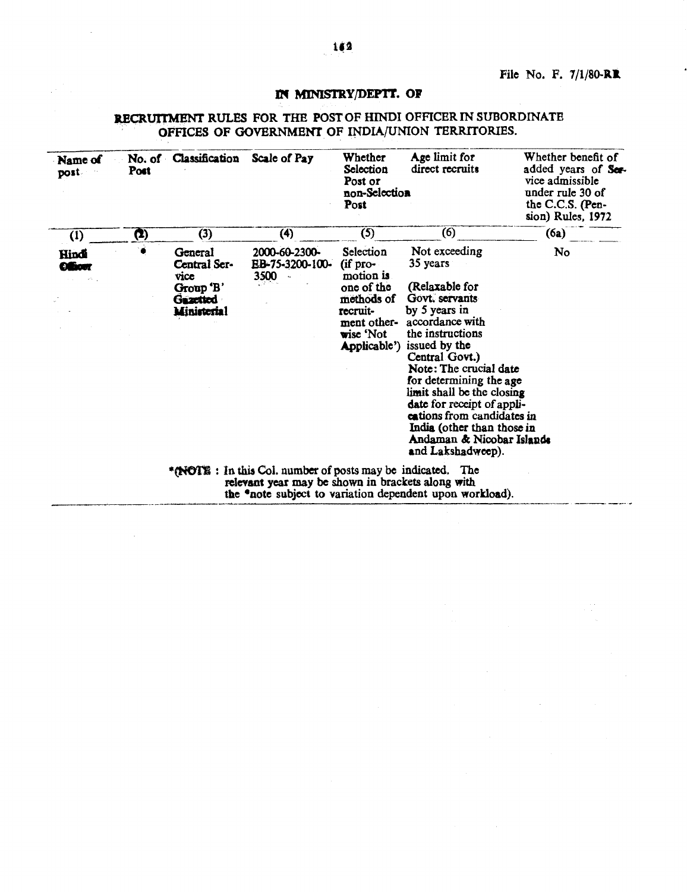# It'{ MINlSTRYjDEP'IT. or

# RECRUITMENT RULES FOR THE POST OF HINDI OFFICER IN SUBORDINATE OFFICES OF GOVERNMENT OF INDIA/UNION TERRITORIES.

| Name of<br>post         | Post                                                                                                                                                                        | No. of Classification Scale of Pay                                      |                                          | Whether<br>Selection<br>Post or<br>non-Selection<br>Post                                                               | Age limit for<br>direct recruits                                                                                                                                                                                                                                                                                                                                                        | Whether benefit of<br>added years of Ser-<br>vice admissible<br>under rule 30 of<br>the C.C.S. (Pen-<br>sion) Rules, 1972 |
|-------------------------|-----------------------------------------------------------------------------------------------------------------------------------------------------------------------------|-------------------------------------------------------------------------|------------------------------------------|------------------------------------------------------------------------------------------------------------------------|-----------------------------------------------------------------------------------------------------------------------------------------------------------------------------------------------------------------------------------------------------------------------------------------------------------------------------------------------------------------------------------------|---------------------------------------------------------------------------------------------------------------------------|
| (1)                     | (I)                                                                                                                                                                         | (3)                                                                     | (4)                                      | (5)                                                                                                                    | (6)                                                                                                                                                                                                                                                                                                                                                                                     | (6a)                                                                                                                      |
| Hindi<br><b>Officer</b> |                                                                                                                                                                             | General<br>Central Ser-<br>vice<br>Group 'B'<br>Gazetted<br>Ministerial | 2000-60-2300-<br>EB-75-3200-100-<br>3500 | Selection<br>(if pro-<br>motion is<br>one of the<br>methods of<br>recruit-<br>ment other-<br>wise 'Not<br>Applicable') | Not exceeding<br>35 years<br>(Relaxable for<br>Govt. servants<br>by 5 years in<br>accordance with<br>the instructions<br>issued by the<br>Central Govt.)<br>Note: The crucial date<br>for determining the age<br>limit shall be the closing<br>date for receipt of appli-<br>cations from candidates in<br>India (other than those in<br>Andaman & Nicobar Islands<br>and Lakshadweep). | No                                                                                                                        |
|                         | *(NOTE: In this Col. number of posts may be indicated. The<br>relevant year may be shown in brackets along with<br>the "note subject to variation dependent upon workload). |                                                                         |                                          |                                                                                                                        |                                                                                                                                                                                                                                                                                                                                                                                         |                                                                                                                           |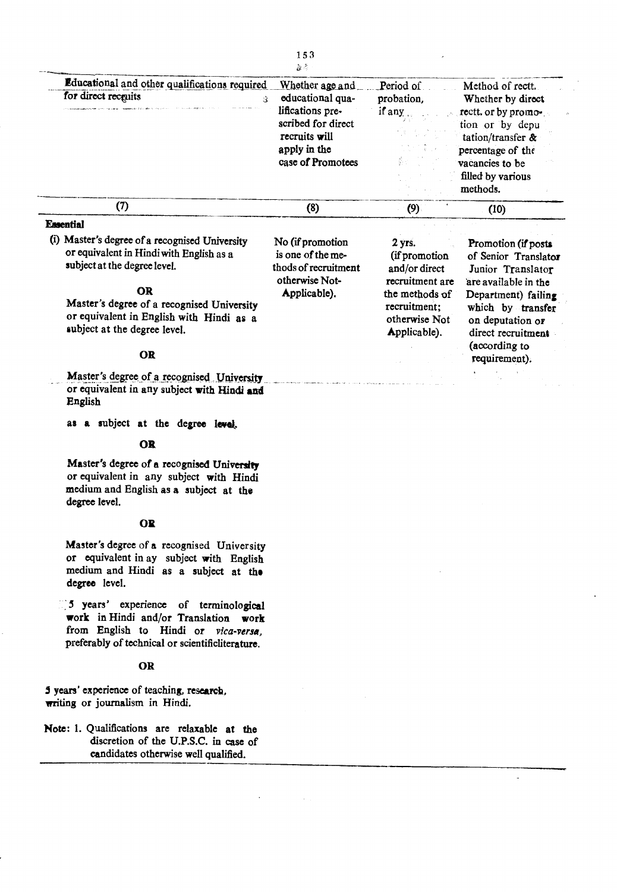|                                                                                                                                     | 違く                                                                                                                                  |                                                                 |                                                                                                                                                                                  |
|-------------------------------------------------------------------------------------------------------------------------------------|-------------------------------------------------------------------------------------------------------------------------------------|-----------------------------------------------------------------|----------------------------------------------------------------------------------------------------------------------------------------------------------------------------------|
| Educational and other qualifications required<br>for direct recquits<br>$\Omega$                                                    | Whether age and<br>educational qua-<br>lifications pre-<br>scribed for direct<br>recruits will<br>apply in the<br>case of Promotees | Period of<br>probation,<br>if any                               | Method of rectt.<br>Whether by direct<br>rectt. or by promo-<br>tion or by depu<br>tation/transfer $\&$<br>percentage of the<br>vacancies to be<br>filled by various<br>methods. |
| (7)                                                                                                                                 | (8)                                                                                                                                 | (9)                                                             | (10)                                                                                                                                                                             |
| <b>Essential</b>                                                                                                                    |                                                                                                                                     |                                                                 |                                                                                                                                                                                  |
| (i) Master's degree of a recognised University<br>or equivalent in Hindi with English as a<br>subject at the degree level.          | No (if promotion<br>is one of the me-<br>thods of recruitment<br>otherwise Not-                                                     | $2$ yrs.<br>(if promotion<br>and/or direct<br>recruitment are   | Promotion (if posts<br>of Senior Translator<br>Junior Translator<br>are available in the                                                                                         |
| <b>OR</b><br>Master's degree of a recognised University<br>or equivalent in English with Hindi as a<br>subject at the degree level. | Applicable).                                                                                                                        | the methods of<br>recruitment:<br>otherwise Not<br>Applicable). | Department) failing<br>which by transfer<br>on deputation or<br>direct recruitment                                                                                               |
| <b>OR</b>                                                                                                                           |                                                                                                                                     |                                                                 | (according to<br>requirement).                                                                                                                                                   |
| Master's degree of a recognised University<br>or equivalent in ony subject with TE-41                                               |                                                                                                                                     |                                                                 |                                                                                                                                                                                  |

 $\sim$ 

153

or equivalent in any subject with Hindi and English

as a subject at the degree level.

## **OR**

Master's degree of a recognised University or equivalent in any subject with Hindi medium and English as a subject at the degree level.

## **OR**

Master's degree of a recognised University or equivalent in ay subject with English medium and Hindi as a subject at the degree level.

5 years' experience of terminological work in Hindi and/or Translation work from English to Hindi or vica-versa, preferably of technical or scientificliterature.

# OR

5 years' experience of teaching, research, writing or journalism in Hindi.

Note: 1. Qualifications are relaxable at the discretion of the U.P.S.C. in case of candidates otherwise well qualified.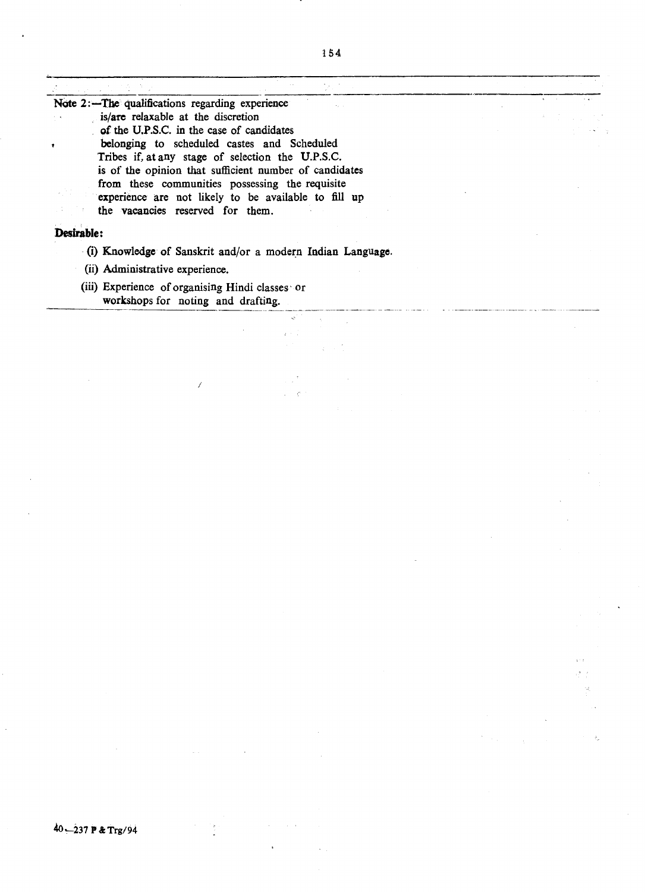Note 2:-The qualifications regarding experience is/are relaxable at the discretion of the U.P.S.C. in the case of candidates belonging to scheduled castes and Scheduled Tribes if, at any stage of selection the U.P.S.C. is of the opinion that sufficient number of candidates from these communities possessing the requisite experience are not likely to be available to fill up the vacancies reserved for them.

## **Desirable:**

- . (i) Knowledge of Sanskrit and/or a moder:n Indian Language.
- (ii) Administrative experience.
- (iii) Experience of organising Hindi classes' or workshops for noting and drafting.